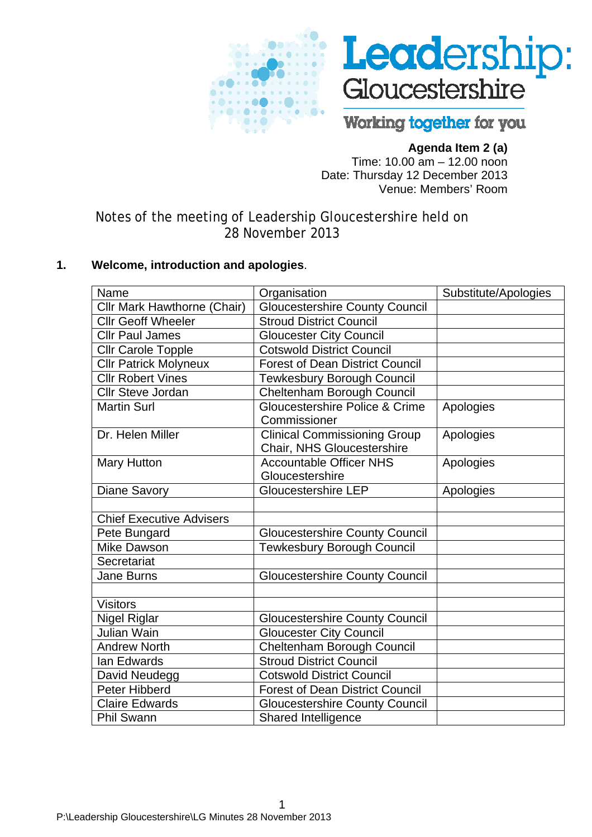



Working together for you

# **Agenda Item 2 (a)**

Time: 10.00 am – 12.00 noon Date: Thursday 12 December 2013 Venue: Members' Room

Notes of the meeting of Leadership Gloucestershire held on 28 November 2013

## **1. Welcome, introduction and apologies**.

| Name                               | Organisation                           | Substitute/Apologies |
|------------------------------------|----------------------------------------|----------------------|
| <b>Cllr Mark Hawthorne (Chair)</b> | <b>Gloucestershire County Council</b>  |                      |
| <b>Cllr Geoff Wheeler</b>          | <b>Stroud District Council</b>         |                      |
| <b>Cllr Paul James</b>             | <b>Gloucester City Council</b>         |                      |
| <b>Cllr Carole Topple</b>          | <b>Cotswold District Council</b>       |                      |
| <b>Cllr Patrick Molyneux</b>       | <b>Forest of Dean District Council</b> |                      |
| <b>Cllr Robert Vines</b>           | <b>Tewkesbury Borough Council</b>      |                      |
| <b>Cllr Steve Jordan</b>           | Cheltenham Borough Council             |                      |
| <b>Martin Surl</b>                 | Gloucestershire Police & Crime         | Apologies            |
|                                    | Commissioner                           |                      |
| Dr. Helen Miller                   | <b>Clinical Commissioning Group</b>    | Apologies            |
|                                    | Chair, NHS Gloucestershire             |                      |
| <b>Mary Hutton</b>                 | <b>Accountable Officer NHS</b>         | Apologies            |
|                                    | Gloucestershire                        |                      |
| Diane Savory                       | <b>Gloucestershire LEP</b>             | Apologies            |
|                                    |                                        |                      |
| <b>Chief Executive Advisers</b>    |                                        |                      |
| Pete Bungard                       | <b>Gloucestershire County Council</b>  |                      |
| <b>Mike Dawson</b>                 | <b>Tewkesbury Borough Council</b>      |                      |
| Secretariat                        |                                        |                      |
| <b>Jane Burns</b>                  | <b>Gloucestershire County Council</b>  |                      |
|                                    |                                        |                      |
| <b>Visitors</b>                    |                                        |                      |
| Nigel Riglar                       | <b>Gloucestershire County Council</b>  |                      |
| <b>Julian Wain</b>                 | <b>Gloucester City Council</b>         |                      |
| <b>Andrew North</b>                | Cheltenham Borough Council             |                      |
| lan Edwards                        | <b>Stroud District Council</b>         |                      |
| David Neudegg                      | <b>Cotswold District Council</b>       |                      |
| Peter Hibberd                      | <b>Forest of Dean District Council</b> |                      |
| <b>Claire Edwards</b>              | <b>Gloucestershire County Council</b>  |                      |
| <b>Phil Swann</b>                  | <b>Shared Intelligence</b>             |                      |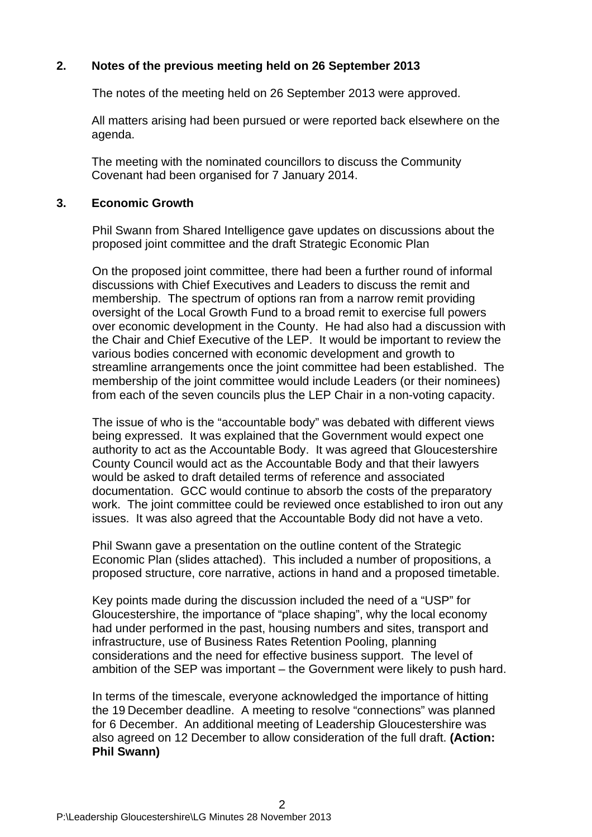## **2. Notes of the previous meeting held on 26 September 2013**

The notes of the meeting held on 26 September 2013 were approved.

 All matters arising had been pursued or were reported back elsewhere on the agenda.

 The meeting with the nominated councillors to discuss the Community Covenant had been organised for 7 January 2014.

#### **3. Economic Growth**

Phil Swann from Shared Intelligence gave updates on discussions about the proposed joint committee and the draft Strategic Economic Plan

On the proposed joint committee, there had been a further round of informal discussions with Chief Executives and Leaders to discuss the remit and membership. The spectrum of options ran from a narrow remit providing oversight of the Local Growth Fund to a broad remit to exercise full powers over economic development in the County. He had also had a discussion with the Chair and Chief Executive of the LEP. It would be important to review the various bodies concerned with economic development and growth to streamline arrangements once the joint committee had been established. The membership of the joint committee would include Leaders (or their nominees) from each of the seven councils plus the LEP Chair in a non-voting capacity.

The issue of who is the "accountable body" was debated with different views being expressed. It was explained that the Government would expect one authority to act as the Accountable Body. It was agreed that Gloucestershire County Council would act as the Accountable Body and that their lawyers would be asked to draft detailed terms of reference and associated documentation. GCC would continue to absorb the costs of the preparatory work. The joint committee could be reviewed once established to iron out any issues. It was also agreed that the Accountable Body did not have a veto.

Phil Swann gave a presentation on the outline content of the Strategic Economic Plan (slides attached). This included a number of propositions, a proposed structure, core narrative, actions in hand and a proposed timetable.

Key points made during the discussion included the need of a "USP" for Gloucestershire, the importance of "place shaping", why the local economy had under performed in the past, housing numbers and sites, transport and infrastructure, use of Business Rates Retention Pooling, planning considerations and the need for effective business support. The level of ambition of the SEP was important – the Government were likely to push hard.

In terms of the timescale, everyone acknowledged the importance of hitting the 19 December deadline. A meeting to resolve "connections" was planned for 6 December. An additional meeting of Leadership Gloucestershire was also agreed on 12 December to allow consideration of the full draft. **(Action: Phil Swann)**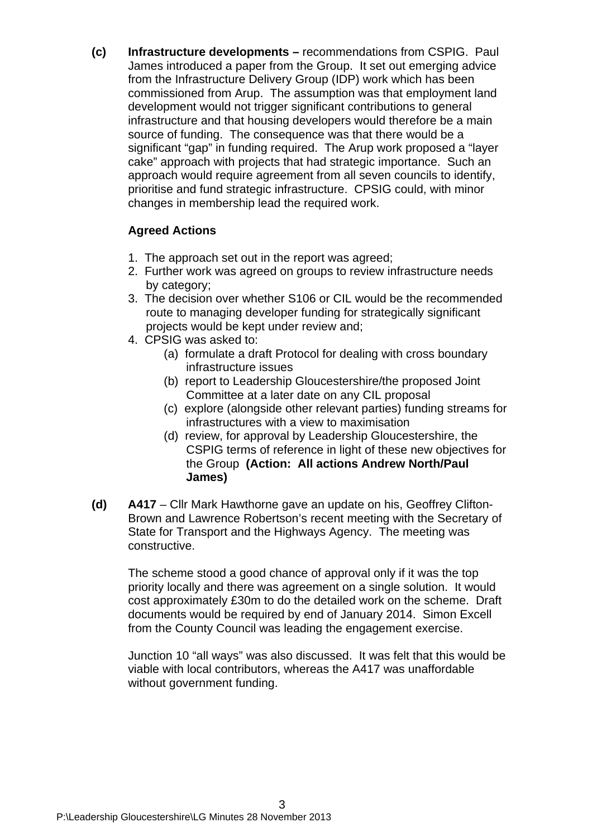**(c) Infrastructure developments –** recommendations from CSPIG. Paul James introduced a paper from the Group. It set out emerging advice from the Infrastructure Delivery Group (IDP) work which has been commissioned from Arup. The assumption was that employment land development would not trigger significant contributions to general infrastructure and that housing developers would therefore be a main source of funding. The consequence was that there would be a significant "gap" in funding required. The Arup work proposed a "layer cake" approach with projects that had strategic importance. Such an approach would require agreement from all seven councils to identify, prioritise and fund strategic infrastructure. CPSIG could, with minor changes in membership lead the required work.

## **Agreed Actions**

- 1. The approach set out in the report was agreed;
- 2. Further work was agreed on groups to review infrastructure needs by category;
- 3. The decision over whether S106 or CIL would be the recommended route to managing developer funding for strategically significant projects would be kept under review and;
- 4. CPSIG was asked to:
	- (a) formulate a draft Protocol for dealing with cross boundary infrastructure issues
	- (b) report to Leadership Gloucestershire/the proposed Joint Committee at a later date on any CIL proposal
	- (c) explore (alongside other relevant parties) funding streams for infrastructures with a view to maximisation
	- (d) review, for approval by Leadership Gloucestershire, the CSPIG terms of reference in light of these new objectives for the Group **(Action: All actions Andrew North/Paul James)**
- **(d) A417** Cllr Mark Hawthorne gave an update on his, Geoffrey Clifton-Brown and Lawrence Robertson's recent meeting with the Secretary of State for Transport and the Highways Agency. The meeting was constructive.

 The scheme stood a good chance of approval only if it was the top priority locally and there was agreement on a single solution. It would cost approximately £30m to do the detailed work on the scheme. Draft documents would be required by end of January 2014. Simon Excell from the County Council was leading the engagement exercise.

Junction 10 "all ways" was also discussed. It was felt that this would be viable with local contributors, whereas the A417 was unaffordable without government funding.